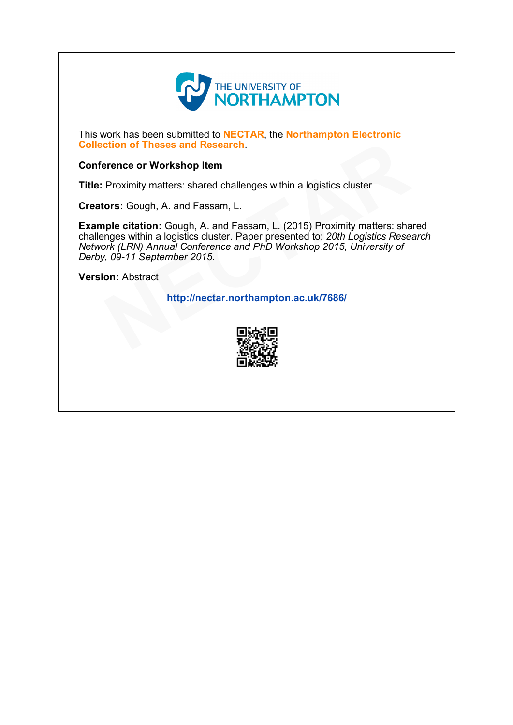

This work has been submitted to NECTAR, the Northampton Electronic Collection of Theses and Research.

## Conference or Workshop Item

Title: Proximity matters: shared challenges within a logistics cluster

Creators: Gough, A. and Fassam, L.

Example citation: Gough, A. and Fassam, L. (2015) Proximity matters: shared challenges within a logistics cluster. Paper presented to: 20th Logistics Research Network (LRN) Annual Conference and PhD Workshop 2015, University of Derby, 09-11 September 2015. ntian of Theses and Research.<br>
Frence or Workshop Item<br>
Proximity matters: shared challenges within a logistics cluster<br>
rors: Gough, A. and Fassam, L. (2015) Proximity matters: sha<br>
nges within a logistics cluster. Paper

Version: Abstract

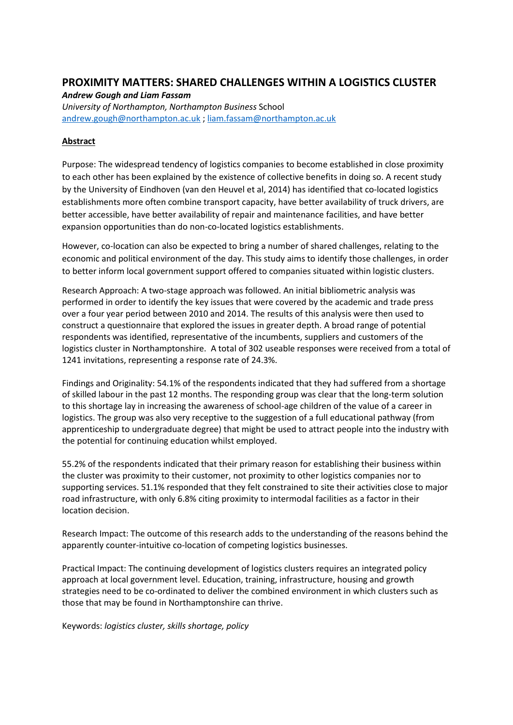## **PROXIMITY MATTERS: SHARED CHALLENGES WITHIN A LOGISTICS CLUSTER**

*Andrew Gough and Liam Fassam*

*University of Northampton, Northampton Business* School [andrew.gough@northampton.ac.uk](mailto:andrew.gough@northampton.ac.uk) [; liam.fassam@northampton.ac.uk](mailto:liam.fassam@northampton.ac.uk) 

## **Abstract**

Purpose: The widespread tendency of logistics companies to become established in close proximity to each other has been explained by the existence of collective benefits in doing so. A recent study by the University of Eindhoven (van den Heuvel et al, 2014) has identified that co-located logistics establishments more often combine transport capacity, have better availability of truck drivers, are better accessible, have better availability of repair and maintenance facilities, and have better expansion opportunities than do non-co-located logistics establishments.

However, co-location can also be expected to bring a number of shared challenges, relating to the economic and political environment of the day. This study aims to identify those challenges, in order to better inform local government support offered to companies situated within logistic clusters.

Research Approach: A two-stage approach was followed. An initial bibliometric analysis was performed in order to identify the key issues that were covered by the academic and trade press over a four year period between 2010 and 2014. The results of this analysis were then used to construct a questionnaire that explored the issues in greater depth. A broad range of potential respondents was identified, representative of the incumbents, suppliers and customers of the logistics cluster in Northamptonshire. A total of 302 useable responses were received from a total of 1241 invitations, representing a response rate of 24.3%.

Findings and Originality: 54.1% of the respondents indicated that they had suffered from a shortage of skilled labour in the past 12 months. The responding group was clear that the long-term solution to this shortage lay in increasing the awareness of school-age children of the value of a career in logistics. The group was also very receptive to the suggestion of a full educational pathway (from apprenticeship to undergraduate degree) that might be used to attract people into the industry with the potential for continuing education whilst employed.

55.2% of the respondents indicated that their primary reason for establishing their business within the cluster was proximity to their customer, not proximity to other logistics companies nor to supporting services. 51.1% responded that they felt constrained to site their activities close to major road infrastructure, with only 6.8% citing proximity to intermodal facilities as a factor in their location decision.

Research Impact: The outcome of this research adds to the understanding of the reasons behind the apparently counter-intuitive co-location of competing logistics businesses.

Practical Impact: The continuing development of logistics clusters requires an integrated policy approach at local government level. Education, training, infrastructure, housing and growth strategies need to be co-ordinated to deliver the combined environment in which clusters such as those that may be found in Northamptonshire can thrive.

Keywords: *logistics cluster, skills shortage, policy*